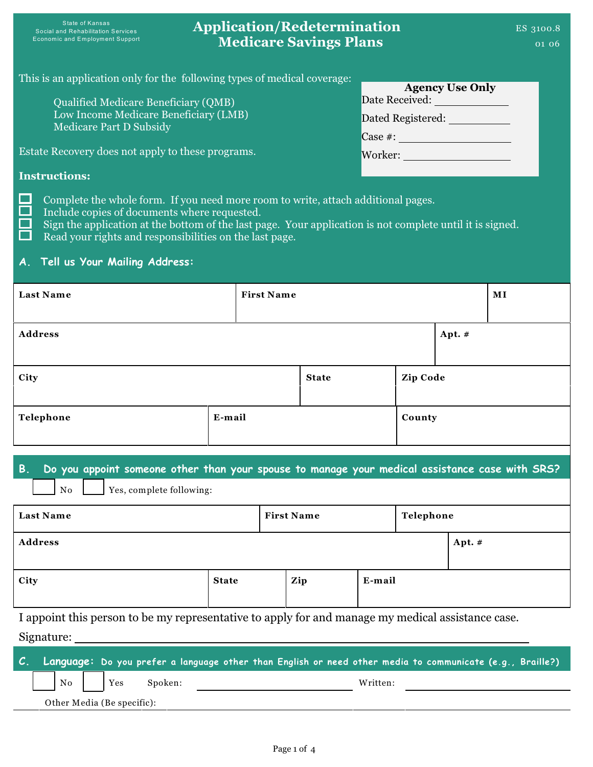# **Application/Redetermination Medicare Savings Plans**

| This is an application only for the following types of medical coverage: | <b>Agency Use Only</b> |
|--------------------------------------------------------------------------|------------------------|
| Qualified Medicare Beneficiary (QMB)                                     | Date Received:         |
| Low Income Medicare Beneficiary (LMB)                                    | Dated Registered:      |
| <b>Medicare Part D Subsidy</b>                                           | $\text{Case } \#$ :    |
| Estate Recovery does not apply to these programs.                        | Worker:                |
| <b>Instructions:</b>                                                     |                        |

Complete the whole form. If you need more room to write, attach additional pages.

Include copies of documents where requested.  $\sim$ 

Sign the application at the bottom of the last page. Your application is not complete until it is signed. Read your rights and responsibilities on the last page.

### **A. Tell us Your Mailing Address:**

 $\overline{\phantom{1}}$ 

| <b>Last Name</b> | <b>First Name</b> |              |          |          | $\mathbf{M}$ $\mathbf{I}$ |
|------------------|-------------------|--------------|----------|----------|---------------------------|
| <b>Address</b>   |                   |              |          | Apt. $#$ |                           |
| City             |                   | <b>State</b> | Zip Code |          |                           |
| Telephone        | E-mail            |              | County   |          |                           |

### **B. Do you appoint someone other than your spouse to manage your medical assistance case with SRS?**

| No | Yes, complete following: |
|----|--------------------------|
|----|--------------------------|

| <b>Last Name</b>                                                                                  | <b>First Name</b> |  |     | Telephone |  |          |  |
|---------------------------------------------------------------------------------------------------|-------------------|--|-----|-----------|--|----------|--|
| <b>Address</b>                                                                                    |                   |  |     |           |  | Apt. $#$ |  |
| City                                                                                              | <b>State</b>      |  | Zip | E-mail    |  |          |  |
| I appoint this person to be my representative to apply for and manage my medical assistance case. |                   |  |     |           |  |          |  |

Signature:

|  |  |                            |                | C. Language: Do you prefer a language other than English or need other media to communicate (e.g., Braille?) |
|--|--|----------------------------|----------------|--------------------------------------------------------------------------------------------------------------|
|  |  |                            | No Yes Spoken: | Written:                                                                                                     |
|  |  | Other Media (Be specific): |                |                                                                                                              |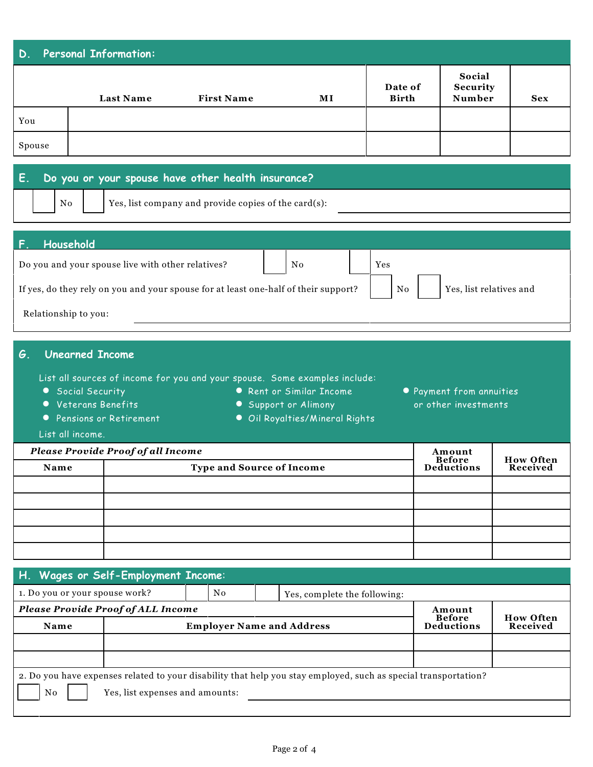|                      | <b>Personal Information:</b><br><b>Last Name</b>                                                  | <b>First Name</b>                                                                                          | МI                                                                             | Date of<br><b>Birth</b> | Social<br>Security<br>Number                     | <b>Sex</b>       |
|----------------------|---------------------------------------------------------------------------------------------------|------------------------------------------------------------------------------------------------------------|--------------------------------------------------------------------------------|-------------------------|--------------------------------------------------|------------------|
| You                  |                                                                                                   |                                                                                                            |                                                                                |                         |                                                  |                  |
| Spouse               |                                                                                                   |                                                                                                            |                                                                                |                         |                                                  |                  |
| E.<br>No             |                                                                                                   | Do you or your spouse have other health insurance?<br>Yes, list company and provide copies of the card(s): |                                                                                |                         |                                                  |                  |
| Household            | Do you and your spouse live with other relatives?                                                 |                                                                                                            | No                                                                             | Yes                     |                                                  |                  |
|                      |                                                                                                   | If yes, do they rely on you and your spouse for at least one-half of their support?                        |                                                                                | No                      | Yes, list relatives and                          |                  |
| Relationship to you: |                                                                                                   |                                                                                                            |                                                                                |                         |                                                  |                  |
| G.<br>$\bullet$      | <b>Unearned Income</b><br>• Social Security<br><b>Veterans Benefits</b><br>Pensions or Retirement | List all sources of income for you and your spouse. Some examples include:<br>$\bullet$                    | • Rent or Similar Income<br>Support or Alimony<br>Oil Royalties/Mineral Rights |                         | • Payment from annuities<br>or other investments |                  |
| List all income.     | <b>Please Provide Proof of all Income</b>                                                         |                                                                                                            |                                                                                |                         | Amount<br><b>Before</b>                          | <b>How Often</b> |

| H. Wages or Self-Employment Income:       |                                 |                                  |                                                                                                                 |                              |  |  |
|-------------------------------------------|---------------------------------|----------------------------------|-----------------------------------------------------------------------------------------------------------------|------------------------------|--|--|
| 1. Do you or your spouse work?            |                                 | No.                              | Yes, complete the following:                                                                                    |                              |  |  |
| <b>Please Provide Proof of ALL Income</b> |                                 | Amount                           |                                                                                                                 |                              |  |  |
| Name                                      |                                 | <b>Employer Name and Address</b> | <b>Before</b><br><b>Deductions</b>                                                                              | <b>How Often</b><br>Received |  |  |
|                                           |                                 |                                  |                                                                                                                 |                              |  |  |
|                                           |                                 |                                  |                                                                                                                 |                              |  |  |
| No                                        | Yes, list expenses and amounts: |                                  | 2. Do you have expenses related to your disability that help you stay employed, such as special transportation? |                              |  |  |
|                                           |                                 |                                  |                                                                                                                 |                              |  |  |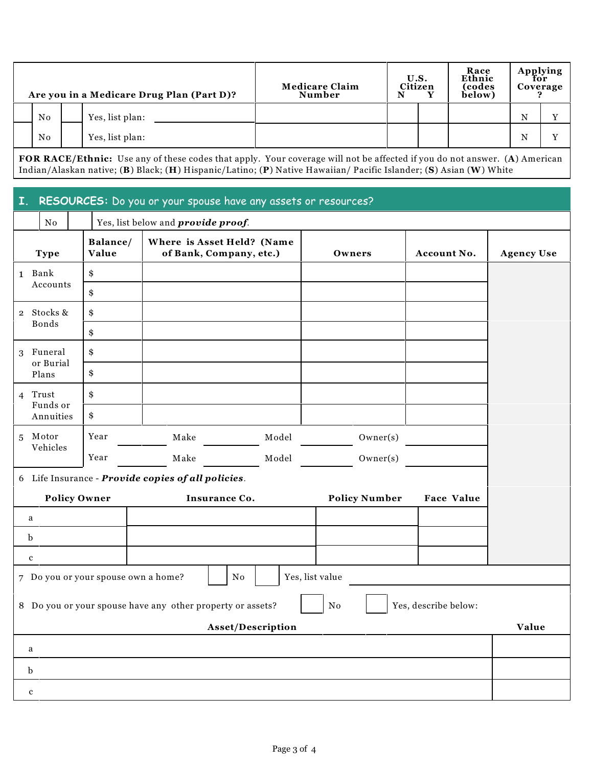| Are you in a Medicare Drug Plan (Part D)? |    |  |                 | <b>Medicare Claim</b><br>Number | N | U.S.<br>Citizen | Race<br>Ethnic<br>(codes<br>below) | Applying<br>for<br>Coverage |   |   |
|-------------------------------------------|----|--|-----------------|---------------------------------|---|-----------------|------------------------------------|-----------------------------|---|---|
|                                           | No |  | Yes, list plan: |                                 |   |                 |                                    |                             | N |   |
|                                           | No |  | Yes, list plan: |                                 |   |                 |                                    |                             | N | T |

**FOR RACE/Ethnic:** Use any of these codes that apply. Your coverage will not be affected if you do not answer. (**A**) American Indian/Alaskan native; (**B**) Black; (**H**) Hispanic/Latino; (**P**) Native Hawaiian/ Pacific Islander; (**S**) Asian (**W**) White

#### **I. RESOURCES:** Do you or your spouse have any assets or resources?

|             | Yes, list below and <i>provide proof</i> .<br>$\mathbf{N}\mathbf{o}$ |  |                     |                                                            |                                                       |                      |                      |                   |
|-------------|----------------------------------------------------------------------|--|---------------------|------------------------------------------------------------|-------------------------------------------------------|----------------------|----------------------|-------------------|
|             | <b>Type</b>                                                          |  | Balance/<br>Value   |                                                            | Where is Asset Held? (Name<br>of Bank, Company, etc.) | Owners               | Account No.          | <b>Agency Use</b> |
|             | 1 Bank                                                               |  | \$                  |                                                            |                                                       |                      |                      |                   |
|             | Accounts                                                             |  | \$                  |                                                            |                                                       |                      |                      |                   |
|             | 2 Stocks &                                                           |  | \$                  |                                                            |                                                       |                      |                      |                   |
|             | Bonds                                                                |  | \$                  |                                                            |                                                       |                      |                      |                   |
|             | 3 Funeral<br>or Burial                                               |  | \$                  |                                                            |                                                       |                      |                      |                   |
|             | Plans                                                                |  | \$                  |                                                            |                                                       |                      |                      |                   |
|             | 4 Trust                                                              |  | \$                  |                                                            |                                                       |                      |                      |                   |
|             | Funds or<br>Annuities                                                |  | \$                  |                                                            |                                                       |                      |                      |                   |
|             | 5 Motor                                                              |  | Year                | Make                                                       | Model                                                 | Owner(s)             |                      |                   |
|             | Vehicles                                                             |  | Year                | Make                                                       | Model                                                 | Owner(s)             |                      |                   |
|             |                                                                      |  |                     | 6 Life Insurance - Provide copies of all policies.         |                                                       |                      |                      |                   |
|             |                                                                      |  | <b>Policy Owner</b> |                                                            | Insurance Co.                                         | <b>Policy Number</b> | <b>Face Value</b>    |                   |
| a           |                                                                      |  |                     |                                                            |                                                       |                      |                      |                   |
| $\mathbf b$ |                                                                      |  |                     |                                                            |                                                       |                      |                      |                   |
| $\mathbf c$ |                                                                      |  |                     |                                                            |                                                       |                      |                      |                   |
|             |                                                                      |  |                     | 7 Do you or your spouse own a home?                        | ${\rm No}$                                            | Yes, list value      |                      |                   |
|             |                                                                      |  |                     | 8 Do you or your spouse have any other property or assets? |                                                       | N <sub>o</sub>       | Yes, describe below: |                   |
|             | Asset/Description                                                    |  |                     |                                                            |                                                       |                      |                      |                   |
| a           |                                                                      |  |                     |                                                            |                                                       |                      |                      |                   |
| $\mathbf b$ |                                                                      |  |                     |                                                            |                                                       |                      |                      |                   |
| $\mathbf c$ |                                                                      |  |                     |                                                            |                                                       |                      |                      |                   |